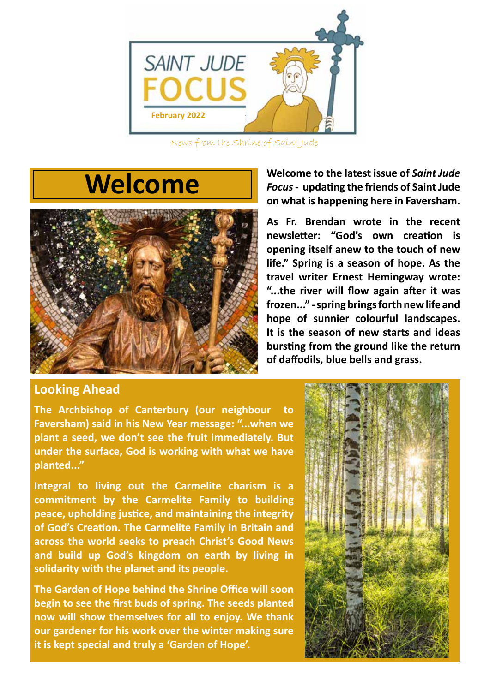

News from the Shrine of Saint Jude

## **Welcome**



**Looking Ahead**

**The Archbishop of Canterbury (our neighbour to Faversham) said in his New Year message: "...when we plant a seed, we don't see the fruit immediately. But under the surface, God is working with what we have planted..."** 

**Integral to living out the Carmelite charism is a commitment by the Carmelite Family to building peace, upholding justice, and maintaining the integrity of God's Creation. The Carmelite Family in Britain and across the world seeks to preach Christ's Good News and build up God's kingdom on earth by living in solidarity with the planet and its people.**

**The Garden of Hope behind the Shrine Office will soon begin to see the first buds of spring. The seeds planted now will show themselves for all to enjoy. We thank our gardener for his work over the winter making sure it is kept special and truly a 'Garden of Hope'.** 

**Welcome to the latest issue of** *Saint Jude Focus* **- updating the friends of Saint Jude on what is happening here in Faversham.**

**As Fr. Brendan wrote in the recent newsletter: "God's own creation is opening itself anew to the touch of new life." Spring is a season of hope. As the travel writer Ernest Hemingway wrote: "...the river will flow again after it was frozen..." - spring brings forth new life and hope of sunnier colourful landscapes. It is the season of new starts and ideas bursting from the ground like the return of daffodils, blue bells and grass.**